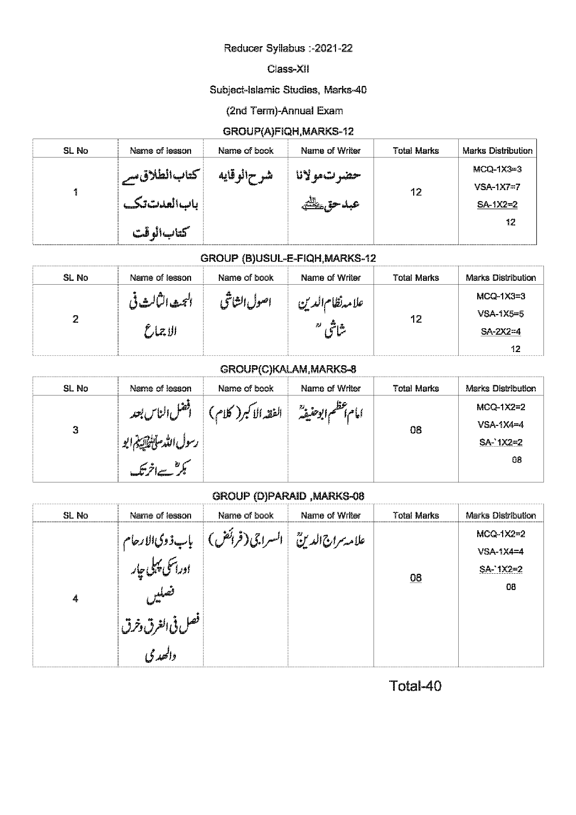### Reducer Syllabus :- 2021-22

#### Class-XII

### Subject-Islamic Studies, Marks-40

#### (2nd Term)-Annual Exam

### GROUP(A)FIQH, MARKS-12

| SL No | Name of lesson     | Name of book | Name of Writer | <b>Total Marks</b> | <b>Marks Distribution</b> |
|-------|--------------------|--------------|----------------|--------------------|---------------------------|
|       | ا كتاب الطلاق سے ا | شر ح\لوقايه  | حضر تءولانا    |                    | $MCQ-1X3=3$               |
|       |                    |              |                | 12                 | $VSA-1X7=7$               |
|       | بالسالعدشتتها      |              | عبد حق علطتيه  |                    | $SA-1X2=2$                |
|       |                    |              |                |                    | 12                        |
|       | كتاب\لوقت          |              |                |                    |                           |

## GROUP (B)USUL-E-FIQH, MARKS-12

| SL No | Name of lesson               | Name of book | Name of Writer                | <b>Total Marks</b> | Marks Distribution                             |
|-------|------------------------------|--------------|-------------------------------|--------------------|------------------------------------------------|
| 2     | البحيدالبالسفاني<br>الاچمارم | اصول الشاثح  | علامه نظام الدين<br>ه م<br>71 | 12                 | $MCQ-1X3=3$<br>$VSA-1X5=5$<br>$SA-2X2=4$<br>12 |

### GROUP(C)KALAM, MARKS-8

| SL No | Name of lesson     | Name of book          | Name of Writer                               | <b>Total Marks</b> | <b>Marks Distribution</b> |
|-------|--------------------|-----------------------|----------------------------------------------|--------------------|---------------------------|
|       | افضل الناس بعد     | الفقه الاكبر( ُ<br>"ש | $\frac{23}{4}$ <b>C</b> $\frac{6}{100}$ at a |                    | MCQ-1X2=2                 |
| 3     |                    |                       |                                              | 08                 | $VSA-1X4=4$               |
|       | رسول اللد ستيقاتية |                       |                                              |                    | $SA - 1X2 = 2$            |
|       | ீ                  |                       |                                              |                    | 08                        |
|       |                    |                       |                                              |                    |                           |

#### **GROUP (D)PARAID, MARKS-08**

| SL No | Name of lesson                                | Name of book                         | Name of Writer | <b>Total Marks</b> | <b>Marks Distribution</b>                    |
|-------|-----------------------------------------------|--------------------------------------|----------------|--------------------|----------------------------------------------|
| 4     | باب ذوی الارحام<br>  اوراسکی پہلی جار<br>فعلي | علامة سرانٌ الدينُ   السراجي (فرائض) |                | $\underline{08}$   | $MCQ-1X2=2$<br>$VSA-1X4=4$<br>SA-1X2=2<br>08 |
|       | بالغرق وخرق المستخرج<br>المستخرج<br>والحددكي  |                                      |                |                    |                                              |

Total-40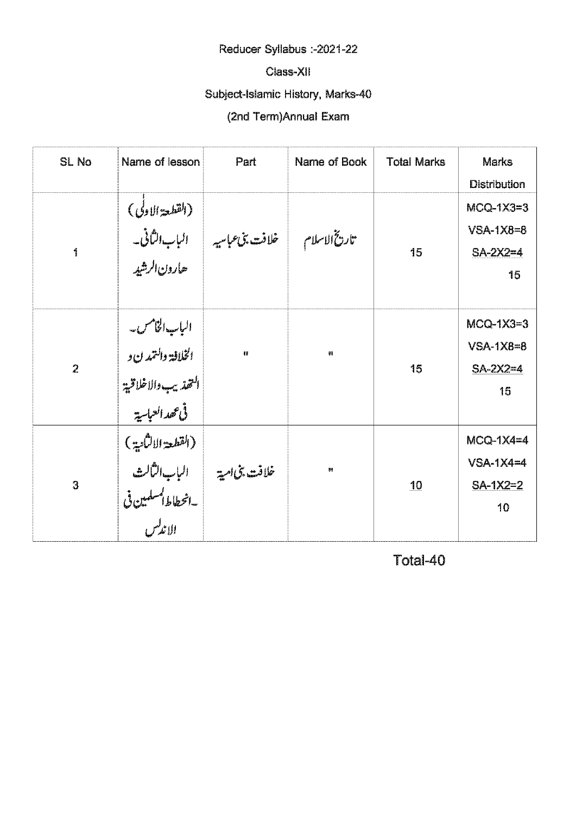# Reducer Syllabus :- 2021-22

### Class-XII

# Subject-Islamic History, Marks-40

# (2nd Term)Annual Exam

| <b>SL No</b>   | Name of lesson                                                                                     | Part                                                           | Name of Book | <b>Total Marks</b> | <b>Marks</b><br><b>Distribution</b>            |
|----------------|----------------------------------------------------------------------------------------------------|----------------------------------------------------------------|--------------|--------------------|------------------------------------------------|
| 1              | .<br>حارون الرشيه                                                                                  | (القطعة الاولى)<br>تاريخ الاسلام فلافت بن عباسيه الباب الثاني- |              | 15                 | $MCQ-1X3=3$<br>$VSA-1X8=8$<br>$SA-2X2=4$<br>15 |
| $\overline{2}$ | الباب الخامس۔<br>الخلافة والتمدن و<br>النهذيب والاخلاقية <sup> </sup><br> <br>.<br>في عهد العباسية | 驆                                                              | ₩            | 15                 | $MCQ-1X3=3$<br>$VSA-1X8=8$<br>$SA-2X2=4$<br>15 |
| 3              | القطعة الالثانية)<br>خلافت بنى امية السلب الشالث<br>- المحطاط المسلمين فى<br>- الاندلس             |                                                                | Ų₽           | 10                 | $MCQ-1X4=4$<br>$VSA-1X4=4$<br>$SA-1X2=2$<br>10 |

Total-40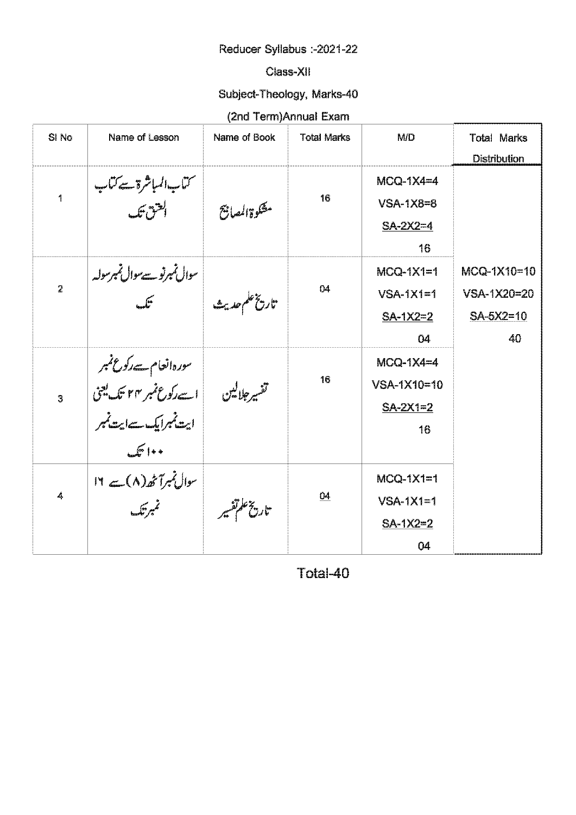# Reducer Syllabus :-2021-22

## Class-XII

# Subject-Theology, Marks-40

# (2nd Term)Annual Exam

| SI No          | Name of Lesson                                                                                 | Name of Book                                                              | <b>Total Marks</b> | <b>M/D</b>  | <b>Total Marks</b>  |
|----------------|------------------------------------------------------------------------------------------------|---------------------------------------------------------------------------|--------------------|-------------|---------------------|
|                |                                                                                                |                                                                           |                    |             | <b>Distribution</b> |
|                |                                                                                                |                                                                           |                    | $MCQ-1X4=4$ |                     |
| $\mathbf{r}$   | سمتناب السباشرة سے متناب<br> <br>   سلسق تنا                                                   | مثكوةالمعافج                                                              | 16                 | $VSA-1XB=8$ |                     |
|                |                                                                                                |                                                                           |                    | $SA-2X2=4$  |                     |
|                |                                                                                                |                                                                           |                    | 16          |                     |
|                |                                                                                                |                                                                           |                    | $MCQ-1X1=1$ | MCQ-1X10=10         |
| $\overline{2}$ |                                                                                                | سوال <i>نمبرنوے مو</i> ال نمبر ہوئے<br>تاریخ علم حدیث  <br>تاریخ علم حدیث | 04                 | $VSA-1X1=1$ | VSA-1X20=20         |
|                |                                                                                                |                                                                           |                    | $SA-1X2=2$  | $SA-5X2=10$         |
|                |                                                                                                |                                                                           |                    | 04          | 40                  |
|                |                                                                                                |                                                                           |                    | $MCQ-1X4=4$ |                     |
|                | سورہ انعام سے رکوع نمبر<br>تفسیر جلالین ہے اسے رکوع نمبر ۴۴ تک یعنی<br>ابیت نمبرایک سےایت نمبر |                                                                           | 16                 | VSA-1X10=10 |                     |
| $\overline{3}$ |                                                                                                |                                                                           |                    | $SA-2X1=2$  |                     |
|                |                                                                                                |                                                                           |                    | 16          |                     |
|                | $\mathbb{F}$ 100                                                                               |                                                                           |                    |             |                     |
|                | سوال نمبرآنھ (٨) ہے ١٢                                                                         |                                                                           |                    | $MCQ-1X1=1$ |                     |
| 4              | م<br>م الصل                                                                                    |                                                                           | 04                 | $VSA-1X1=1$ |                     |
|                |                                                                                                | تاريخ علمتشير                                                             |                    | $SA-1X2=2$  |                     |
|                |                                                                                                |                                                                           |                    | 04          |                     |

Total-40